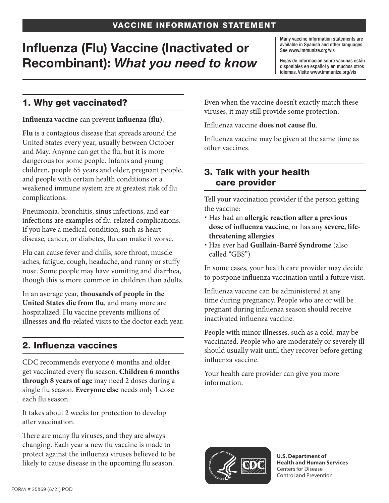# Influenza (Flu) Vaccine (Inactivated or Recombinant): *What you need to know*

Many vaccine information statements are available in Spanish and other languages. See www.immunize.org/vis

Hojas de información sobre vacunas están disponibles en español y en muchos otros idiomas. Visite www.immunize.org/vis

## 1. Why get vaccinated?

#### **Influenza vaccine** can prevent **influenza (flu)**.

**Flu** is a contagious disease that spreads around the United States every year, usually between October and May. Anyone can get the flu, but it is more dangerous for some people. Infants and young children, people 65 years and older, pregnant people, and people with certain health conditions or a weakened immune system are at greatest risk of flu complications.

Pneumonia, bronchitis, sinus infections, and ear infections are examples of flu-related complications. If you have a medical condition, such as heart disease, cancer, or diabetes, flu can make it worse.

Flu can cause fever and chills, sore throat, muscle aches, fatigue, cough, headache, and runny or stuffy nose. Some people may have vomiting and diarrhea, though this is more common in children than adults.

In an average year, **thousands of people in the United States die from flu**, and many more are hospitalized. Flu vaccine prevents millions of illnesses and flu-related visits to the doctor each year.

# 2. Influenza vaccines

CDC recommends everyone 6 months and older get vaccinated every flu season. **Children 6 months through 8 years of age** may need 2 doses during a single flu season. **Everyone else** needs only 1 dose each flu season.

It takes about 2 weeks for protection to develop after vaccination.

There are many flu viruses, and they are always changing. Each year a new flu vaccine is made to protect against the influenza viruses believed to be likely to cause disease in the upcoming flu season.

Even when the vaccine doesn't exactly match these viruses, it may still provide some protection.

Influenza vaccine **does not cause flu**.

Influenza vaccine may be given at the same time as other vaccines.

#### 3. Talk with your health care provider

Tell your vaccination provider if the person getting the vaccine:

- Has had an **allergic reaction after a previous dose of influenza vaccine**, or has any **severe, lifethreatening allergies**
- Has ever had **Guillain-Barré Syndrome** (also called "GBS")

In some cases, your health care provider may decide to postpone influenza vaccination until a future visit.

Influenza vaccine can be administered at any time during pregnancy. People who are or will be pregnant during influenza season should receive inactivated influenza vaccine.

People with minor illnesses, such as a cold, may be vaccinated. People who are moderately or severely ill should usually wait until they recover before getting influenza vaccine.

Your health care provider can give you more information.



**U.S. Department of Health and Human Services**  Centers for Disease Control and Prevention